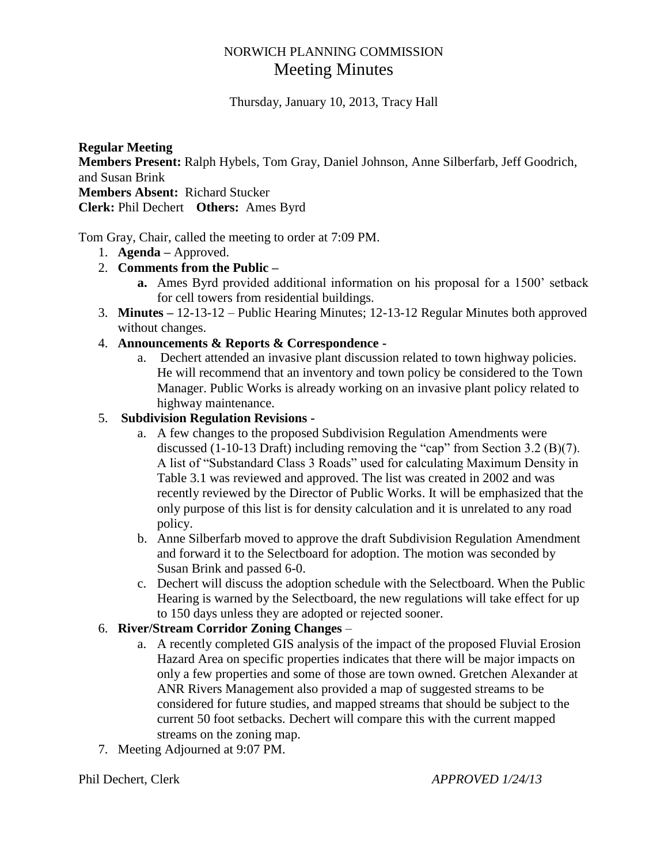# NORWICH PLANNING COMMISSION Meeting Minutes

Thursday, January 10, 2013, Tracy Hall

**Regular Meeting Members Present:** Ralph Hybels, Tom Gray, Daniel Johnson, Anne Silberfarb, Jeff Goodrich, and Susan Brink **Members Absent:** Richard Stucker **Clerk:** Phil Dechert **Others:** Ames Byrd

Tom Gray, Chair, called the meeting to order at 7:09 PM.

1. **Agenda –** Approved.

## 2. **Comments from the Public –**

- **a.** Ames Byrd provided additional information on his proposal for a 1500' setback for cell towers from residential buildings.
- 3. **Minutes –** 12-13-12 Public Hearing Minutes; 12-13-12 Regular Minutes both approved without changes.

## 4. **Announcements & Reports & Correspondence -**

a. Dechert attended an invasive plant discussion related to town highway policies. He will recommend that an inventory and town policy be considered to the Town Manager. Public Works is already working on an invasive plant policy related to highway maintenance.

## 5. **Subdivision Regulation Revisions -**

- a. A few changes to the proposed Subdivision Regulation Amendments were discussed (1-10-13 Draft) including removing the "cap" from Section 3.2 (B)(7). A list of "Substandard Class 3 Roads" used for calculating Maximum Density in Table 3.1 was reviewed and approved. The list was created in 2002 and was recently reviewed by the Director of Public Works. It will be emphasized that the only purpose of this list is for density calculation and it is unrelated to any road policy.
- b. Anne Silberfarb moved to approve the draft Subdivision Regulation Amendment and forward it to the Selectboard for adoption. The motion was seconded by Susan Brink and passed 6-0.
- c. Dechert will discuss the adoption schedule with the Selectboard. When the Public Hearing is warned by the Selectboard, the new regulations will take effect for up to 150 days unless they are adopted or rejected sooner.

## 6. **River/Stream Corridor Zoning Changes** –

- a. A recently completed GIS analysis of the impact of the proposed Fluvial Erosion Hazard Area on specific properties indicates that there will be major impacts on only a few properties and some of those are town owned. Gretchen Alexander at ANR Rivers Management also provided a map of suggested streams to be considered for future studies, and mapped streams that should be subject to the current 50 foot setbacks. Dechert will compare this with the current mapped streams on the zoning map.
- 7. Meeting Adjourned at 9:07 PM.

Phil Dechert, Clerk *APPROVED 1/24/13*